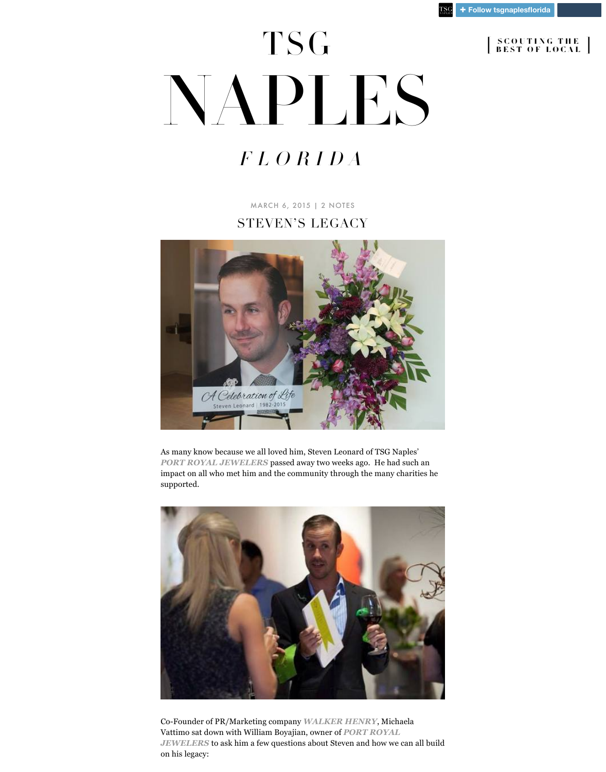[MARCH 6, 2015](http://naples.florida.thescoutguide.com/post/112883565604/stevens-legacy) | [2 NOTES](http://naples.florida.thescoutguide.com/post/112883565604/stevens-legacy#notes)

## STEVEN'S LEGACY



As many know because we all loved him, Steven Leonard of TSG Naples' *[PORT ROYAL JEWELERS](http://portroyaljewelers.com/)* passed away two weeks ago. He had such an impact on all who met him and the community through the many charities he supported.



Co-Founder of PR/Marketing company *[WALKER HENRY](http://www.walkerhenry.com/)*, Michaela Vattimo sat down with William Boyajian, owner of *PORT ROYAL JEWELERS* [to ask him a few questions about Steven and how we](http://portroyaljewelers.com/) can all build on his legacy:

## TSG [NAPLES](http://naples.florida.thescoutguide.com/)

## FLORIDA

[ SCOUTING THE SCOUTING THE BEST OF LOCAL BEST OF LOCAL ]